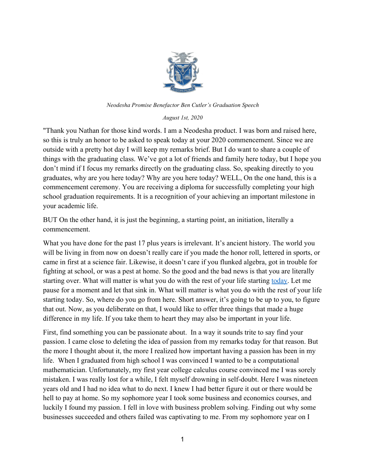

*Neodesha Promise Benefactor Ben Cutler's Graduation Speech*

*August 1st, 2020*

"Thank you Nathan for those kind words. I am a Neodesha product. I was born and raised here, so this is truly an honor to be asked to speak today at your 2020 commencement. Since we are outside with a pretty hot day I will keep my remarks brief. But I do want to share a couple of things with the graduating class. We've got a lot of friends and family here today, but I hope you don't mind if I focus my remarks directly on the graduating class. So, speaking directly to you graduates, why are you here today? Why are you here today? WELL, On the one hand, this is a commencement ceremony. You are receiving a diploma for successfully completing your high school graduation requirements. It is a recognition of your achieving an important milestone in your academic life.

BUT On the other hand, it is just the beginning, a starting point, an initiation, literally a commencement.

What you have done for the past 17 plus years is irrelevant. It's ancient history. The world you will be living in from now on doesn't really care if you made the honor roll, lettered in sports, or came in first at a science fair. Likewise, it doesn't care if you flunked algebra, got in trouble for fighting at school, or was a pest at home. So the good and the bad news is that you are literally starting over. What will matter is what you do with the rest of your life starting today. Let me pause for a moment and let that sink in. What will matter is what you do with the rest of your life starting today. So, where do you go from here. Short answer, it's going to be up to you, to figure that out. Now, as you deliberate on that, I would like to offer three things that made a huge difference in my life. If you take them to heart they may also be important in your life.

First, find something you can be passionate about. In a way it sounds trite to say find your passion. I came close to deleting the idea of passion from my remarks today for that reason. But the more I thought about it, the more I realized how important having a passion has been in my life. When I graduated from high school I was convinced I wanted to be a computational mathematician. Unfortunately, my first year college calculus course convinced me I was sorely mistaken. I was really lost for a while, I felt myself drowning in self-doubt. Here I was nineteen years old and I had no idea what to do next. I knew I had better figure it out or there would be hell to pay at home. So my sophomore year I took some business and economics courses, and luckily I found my passion. I fell in love with business problem solving. Finding out why some businesses succeeded and others failed was captivating to me. From my sophomore year on I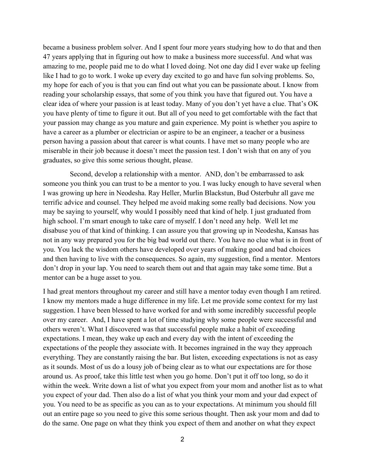became a business problem solver. And I spent four more years studying how to do that and then 47 years applying that in figuring out how to make a business more successful. And what was amazing to me, people paid me to do what I loved doing. Not one day did I ever wake up feeling like I had to go to work. I woke up every day excited to go and have fun solving problems. So, my hope for each of you is that you can find out what you can be passionate about. I know from reading your scholarship essays, that some of you think you have that figured out. You have a clear idea of where your passion is at least today. Many of you don't yet have a clue. That's OK you have plenty of time to figure it out. But all of you need to get comfortable with the fact that your passion may change as you mature and gain experience. My point is whether you aspire to have a career as a plumber or electrician or aspire to be an engineer, a teacher or a business person having a passion about that career is what counts. I have met so many people who are miserable in their job because it doesn't meet the passion test. I don't wish that on any of you graduates, so give this some serious thought, please.

 Second, develop a relationship with a mentor. AND, don't be embarrassed to ask someone you think you can trust to be a mentor to you. I was lucky enough to have several when I was growing up here in Neodesha. Ray Heller, Murlin Blackstun, Bud Osterbuhr all gave me terrific advice and counsel. They helped me avoid making some really bad decisions. Now you may be saying to yourself, why would I possibly need that kind of help. I just graduated from high school. I'm smart enough to take care of myself. I don't need any help. Well let me disabuse you of that kind of thinking. I can assure you that growing up in Neodesha, Kansas has not in any way prepared you for the big bad world out there. You have no clue what is in front of you. You lack the wisdom others have developed over years of making good and bad choices and then having to live with the consequences. So again, my suggestion, find a mentor. Mentors don't drop in your lap. You need to search them out and that again may take some time. But a mentor can be a huge asset to you.

I had great mentors throughout my career and still have a mentor today even though I am retired. I know my mentors made a huge difference in my life. Let me provide some context for my last suggestion. I have been blessed to have worked for and with some incredibly successful people over my career. And, I have spent a lot of time studying why some people were successful and others weren't. What I discovered was that successful people make a habit of exceeding expectations. I mean, they wake up each and every day with the intent of exceeding the expectations of the people they associate with. It becomes ingrained in the way they approach everything. They are constantly raising the bar. But listen, exceeding expectations is not as easy as it sounds. Most of us do a lousy job of being clear as to what our expectations are for those around us. As proof, take this little test when you go home. Don't put it off too long, so do it within the week. Write down a list of what you expect from your mom and another list as to what you expect of your dad. Then also do a list of what you think your mom and your dad expect of you. You need to be as specific as you can as to your expectations. At minimum you should fill out an entire page so you need to give this some serious thought. Then ask your mom and dad to do the same. One page on what they think you expect of them and another on what they expect